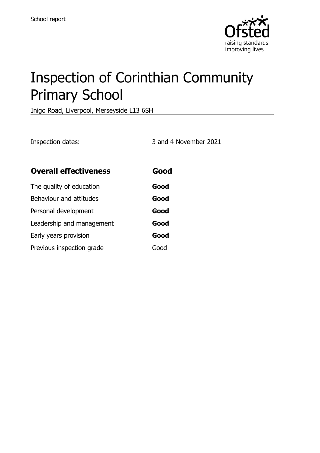

# Inspection of Corinthian Community Primary School

Inigo Road, Liverpool, Merseyside L13 6SH

Inspection dates: 3 and 4 November 2021

| <b>Overall effectiveness</b> | Good |  |
|------------------------------|------|--|
| The quality of education     | Good |  |
| Behaviour and attitudes      | Good |  |
| Personal development         | Good |  |
| Leadership and management    | Good |  |
| Early years provision        | Good |  |
| Previous inspection grade    | Good |  |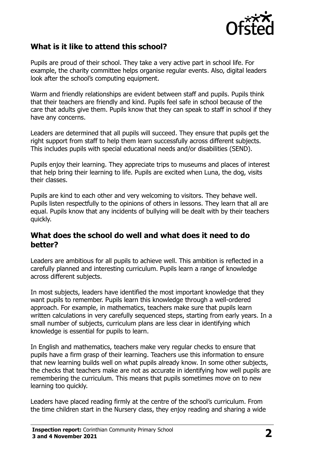

# **What is it like to attend this school?**

Pupils are proud of their school. They take a very active part in school life. For example, the charity committee helps organise regular events. Also, digital leaders look after the school's computing equipment.

Warm and friendly relationships are evident between staff and pupils. Pupils think that their teachers are friendly and kind. Pupils feel safe in school because of the care that adults give them. Pupils know that they can speak to staff in school if they have any concerns.

Leaders are determined that all pupils will succeed. They ensure that pupils get the right support from staff to help them learn successfully across different subjects. This includes pupils with special educational needs and/or disabilities (SEND).

Pupils enjoy their learning. They appreciate trips to museums and places of interest that help bring their learning to life. Pupils are excited when Luna, the dog, visits their classes.

Pupils are kind to each other and very welcoming to visitors. They behave well. Pupils listen respectfully to the opinions of others in lessons. They learn that all are equal. Pupils know that any incidents of bullying will be dealt with by their teachers quickly.

### **What does the school do well and what does it need to do better?**

Leaders are ambitious for all pupils to achieve well. This ambition is reflected in a carefully planned and interesting curriculum. Pupils learn a range of knowledge across different subjects.

In most subjects, leaders have identified the most important knowledge that they want pupils to remember. Pupils learn this knowledge through a well-ordered approach. For example, in mathematics, teachers make sure that pupils learn written calculations in very carefully sequenced steps, starting from early years. In a small number of subjects, curriculum plans are less clear in identifying which knowledge is essential for pupils to learn.

In English and mathematics, teachers make very regular checks to ensure that pupils have a firm grasp of their learning. Teachers use this information to ensure that new learning builds well on what pupils already know. In some other subjects, the checks that teachers make are not as accurate in identifying how well pupils are remembering the curriculum. This means that pupils sometimes move on to new learning too quickly.

Leaders have placed reading firmly at the centre of the school's curriculum. From the time children start in the Nursery class, they enjoy reading and sharing a wide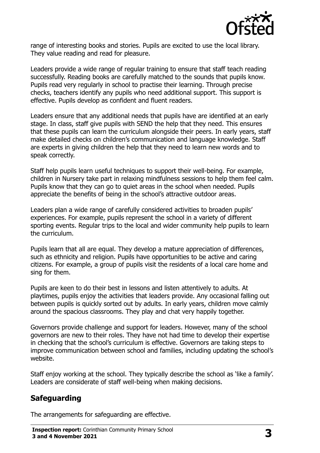

range of interesting books and stories. Pupils are excited to use the local library. They value reading and read for pleasure.

Leaders provide a wide range of regular training to ensure that staff teach reading successfully. Reading books are carefully matched to the sounds that pupils know. Pupils read very regularly in school to practise their learning. Through precise checks, teachers identify any pupils who need additional support. This support is effective. Pupils develop as confident and fluent readers.

Leaders ensure that any additional needs that pupils have are identified at an early stage. In class, staff give pupils with SEND the help that they need. This ensures that these pupils can learn the curriculum alongside their peers. In early years, staff make detailed checks on children's communication and language knowledge. Staff are experts in giving children the help that they need to learn new words and to speak correctly.

Staff help pupils learn useful techniques to support their well-being. For example, children in Nursery take part in relaxing mindfulness sessions to help them feel calm. Pupils know that they can go to quiet areas in the school when needed. Pupils appreciate the benefits of being in the school's attractive outdoor areas.

Leaders plan a wide range of carefully considered activities to broaden pupils' experiences. For example, pupils represent the school in a variety of different sporting events. Regular trips to the local and wider community help pupils to learn the curriculum.

Pupils learn that all are equal. They develop a mature appreciation of differences, such as ethnicity and religion. Pupils have opportunities to be active and caring citizens. For example, a group of pupils visit the residents of a local care home and sing for them.

Pupils are keen to do their best in lessons and listen attentively to adults. At playtimes, pupils enjoy the activities that leaders provide. Any occasional falling out between pupils is quickly sorted out by adults. In early years, children move calmly around the spacious classrooms. They play and chat very happily together.

Governors provide challenge and support for leaders. However, many of the school governors are new to their roles. They have not had time to develop their expertise in checking that the school's curriculum is effective. Governors are taking steps to improve communication between school and families, including updating the school's website.

Staff enjoy working at the school. They typically describe the school as 'like a family'. Leaders are considerate of staff well-being when making decisions.

# **Safeguarding**

The arrangements for safeguarding are effective.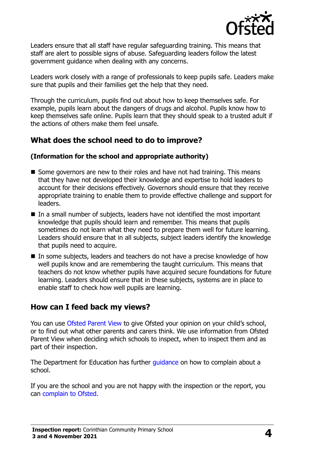

Leaders ensure that all staff have regular safeguarding training. This means that staff are alert to possible signs of abuse. Safeguarding leaders follow the latest government guidance when dealing with any concerns.

Leaders work closely with a range of professionals to keep pupils safe. Leaders make sure that pupils and their families get the help that they need.

Through the curriculum, pupils find out about how to keep themselves safe. For example, pupils learn about the dangers of drugs and alcohol. Pupils know how to keep themselves safe online. Pupils learn that they should speak to a trusted adult if the actions of others make them feel unsafe.

# **What does the school need to do to improve?**

#### **(Information for the school and appropriate authority)**

- Some governors are new to their roles and have not had training. This means that they have not developed their knowledge and expertise to hold leaders to account for their decisions effectively. Governors should ensure that they receive appropriate training to enable them to provide effective challenge and support for leaders.
- In a small number of subjects, leaders have not identified the most important knowledge that pupils should learn and remember. This means that pupils sometimes do not learn what they need to prepare them well for future learning. Leaders should ensure that in all subjects, subject leaders identify the knowledge that pupils need to acquire.
- In some subjects, leaders and teachers do not have a precise knowledge of how well pupils know and are remembering the taught curriculum. This means that teachers do not know whether pupils have acquired secure foundations for future learning. Leaders should ensure that in these subjects, systems are in place to enable staff to check how well pupils are learning.

## **How can I feed back my views?**

You can use [Ofsted Parent View](http://parentview.ofsted.gov.uk/) to give Ofsted your opinion on your child's school, or to find out what other parents and carers think. We use information from Ofsted Parent View when deciding which schools to inspect, when to inspect them and as part of their inspection.

The Department for Education has further quidance on how to complain about a school.

If you are the school and you are not happy with the inspection or the report, you can [complain to Ofsted.](http://www.gov.uk/complain-ofsted-report)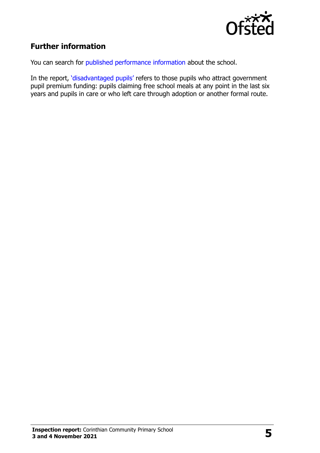

# **Further information**

You can search for [published performance information](http://www.compare-school-performance.service.gov.uk/) about the school.

In the report, '[disadvantaged pupils](http://www.gov.uk/guidance/pupil-premium-information-for-schools-and-alternative-provision-settings)' refers to those pupils who attract government pupil premium funding: pupils claiming free school meals at any point in the last six years and pupils in care or who left care through adoption or another formal route.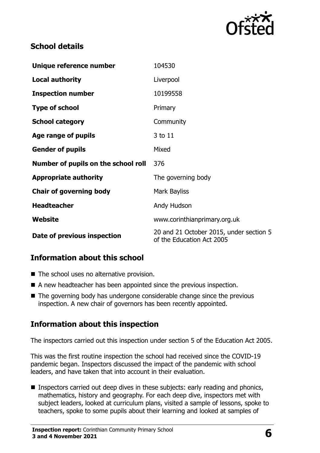

# **School details**

| Unique reference number             | 104530                                                               |
|-------------------------------------|----------------------------------------------------------------------|
| <b>Local authority</b>              | Liverpool                                                            |
| <b>Inspection number</b>            | 10199558                                                             |
| <b>Type of school</b>               | Primary                                                              |
| <b>School category</b>              | Community                                                            |
| Age range of pupils                 | 3 to 11                                                              |
| <b>Gender of pupils</b>             | Mixed                                                                |
| Number of pupils on the school roll | 376                                                                  |
| <b>Appropriate authority</b>        | The governing body                                                   |
| <b>Chair of governing body</b>      | Mark Bayliss                                                         |
| <b>Headteacher</b>                  | Andy Hudson                                                          |
| Website                             | www.corinthianprimary.org.uk                                         |
| Date of previous inspection         | 20 and 21 October 2015, under section 5<br>of the Education Act 2005 |

# **Information about this school**

- The school uses no alternative provision.
- A new headteacher has been appointed since the previous inspection.
- $\blacksquare$  The governing body has undergone considerable change since the previous inspection. A new chair of governors has been recently appointed.

# **Information about this inspection**

The inspectors carried out this inspection under section 5 of the Education Act 2005.

This was the first routine inspection the school had received since the COVID-19 pandemic began. Inspectors discussed the impact of the pandemic with school leaders, and have taken that into account in their evaluation.

■ Inspectors carried out deep dives in these subjects: early reading and phonics, mathematics, history and geography. For each deep dive, inspectors met with subject leaders, looked at curriculum plans, visited a sample of lessons, spoke to teachers, spoke to some pupils about their learning and looked at samples of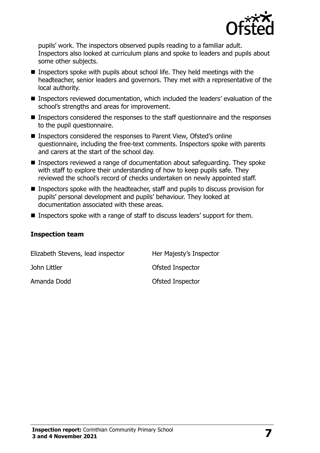

pupils' work. The inspectors observed pupils reading to a familiar adult. Inspectors also looked at curriculum plans and spoke to leaders and pupils about some other subjects.

- Inspectors spoke with pupils about school life. They held meetings with the headteacher, senior leaders and governors. They met with a representative of the local authority.
- Inspectors reviewed documentation, which included the leaders' evaluation of the school's strengths and areas for improvement.
- Inspectors considered the responses to the staff questionnaire and the responses to the pupil questionnaire.
- Inspectors considered the responses to Parent View, Ofsted's online questionnaire, including the free-text comments. Inspectors spoke with parents and carers at the start of the school day.
- Inspectors reviewed a range of documentation about safeguarding. They spoke with staff to explore their understanding of how to keep pupils safe. They reviewed the school's record of checks undertaken on newly appointed staff.
- Inspectors spoke with the headteacher, staff and pupils to discuss provision for pupils' personal development and pupils' behaviour. They looked at documentation associated with these areas.
- Inspectors spoke with a range of staff to discuss leaders' support for them.

#### **Inspection team**

| Elizabeth Stevens, lead inspector | Her Majesty's Inspector |
|-----------------------------------|-------------------------|
| John Littler                      | Ofsted Inspector        |
| Amanda Dodd                       | Ofsted Inspector        |